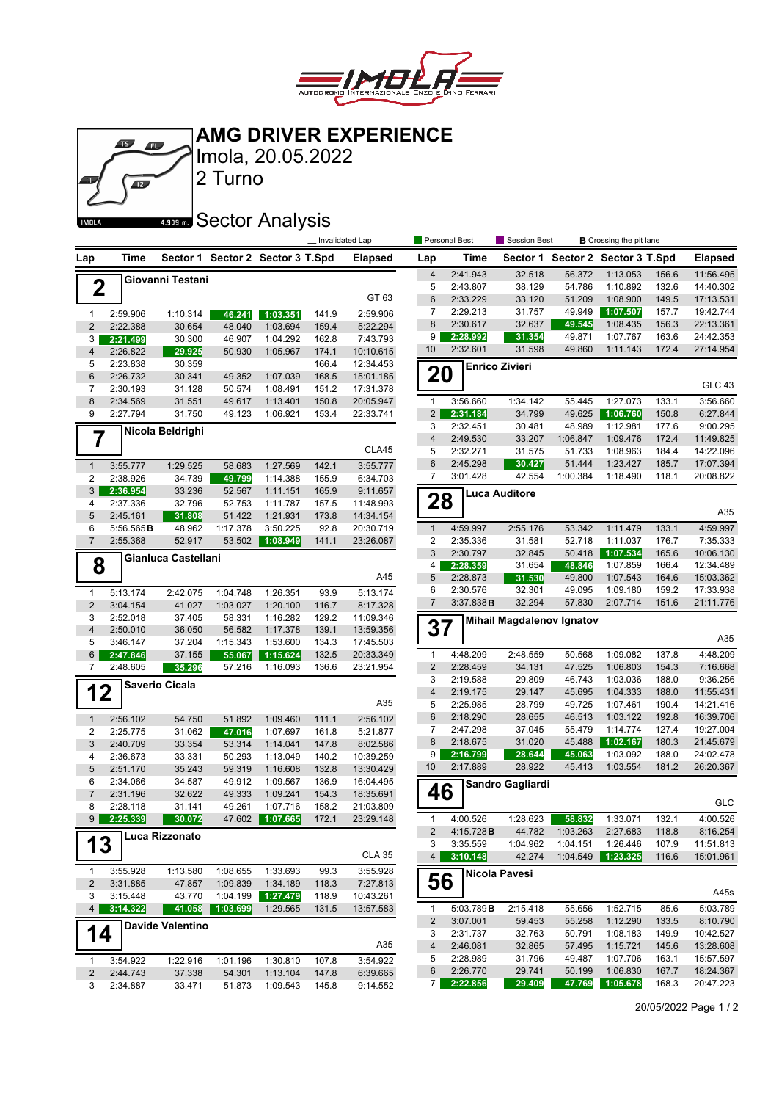

**AMG DRIVER EXPERIENCE**



Imola, 20.05.2022

## **ARGIC SECTOR Analysis**

2 Turno

|                         |                      |                         |                    |                                  | Invalidated Lap |                       |                         | Personal Best        | Session Best                     |                  |                                  | <b>B</b> Crossing the pit lane |                        |
|-------------------------|----------------------|-------------------------|--------------------|----------------------------------|-----------------|-----------------------|-------------------------|----------------------|----------------------------------|------------------|----------------------------------|--------------------------------|------------------------|
| Lap                     | Time                 |                         |                    | Sector 1 Sector 2 Sector 3 T.Spd |                 | <b>Elapsed</b>        | Lap                     | Time                 |                                  |                  | Sector 1 Sector 2 Sector 3 T.Spd |                                | <b>Elapsed</b>         |
|                         |                      | Giovanni Testani        |                    |                                  |                 |                       | $\overline{4}$          | 2:41.943             | 32.518                           | 56.372           | 1:13.053                         | 156.6                          | 11:56.495              |
| $\mathbf 2$             |                      |                         |                    |                                  |                 |                       | 5                       | 2:43.807             | 38.129                           | 54.786           | 1:10.892                         | 132.6                          | 14:40.302              |
|                         |                      |                         |                    |                                  |                 | GT 63                 | 6                       | 2:33.229             | 33.120                           | 51.209           | 1:08.900                         | 149.5                          | 17:13.531              |
| $\mathbf{1}$            | 2:59.906             | 1:10.314                | 46.241             | 1:03.351                         | 141.9           | 2:59.906              | 7                       | 2:29.213             | 31.757                           | 49.949           | 1:07.507                         | 157.7                          | 19:42.744              |
| $\overline{c}$          | 2:22.388             | 30.654                  | 48.040             | 1:03.694                         | 159.4           | 5:22.294              | 8                       | 2:30.617             | 32.637                           | 49.545           | 1:08.435                         | 156.3                          | 22:13.361              |
| 3                       | 2:21.499             | 30.300                  | 46.907             | 1:04.292                         | 162.8           | 7:43.793              | 9                       | 2:28.992             | 31.354                           | 49.871           | 1:07.767                         | 163.6                          | 24:42.353              |
| $\overline{\mathbf{4}}$ | 2:26.822             | 29.925                  | 50.930             | 1:05.967                         | 174.1           | 10:10.615             | 10                      | 2:32.601             | 31.598                           | 49.860           | 1:11.143                         | 172.4                          | 27:14.954              |
| 5                       | 2:23.838             | 30.359                  |                    |                                  | 166.4           | 12:34.453             |                         |                      | <b>Enrico Zivieri</b>            |                  |                                  |                                |                        |
| 6                       | 2:26.732             | 30.341                  | 49.352             | 1:07.039                         | 168.5           | 15:01.185             | 20                      |                      |                                  |                  |                                  |                                |                        |
| $\overline{7}$          | 2:30.193             | 31.128                  | 50.574             | 1:08.491                         | 151.2           | 17:31.378             |                         |                      |                                  |                  |                                  |                                | <b>GLC 43</b>          |
| 8                       | 2:34.569             | 31.551                  | 49.617             | 1:13.401                         | 150.8           | 20:05.947             | $\mathbf{1}$            | 3:56.660             | 1:34.142                         | 55.445           | 1:27.073                         | 133.1                          | 3:56.660               |
| 9                       | 2:27.794             | 31.750                  | 49.123             | 1:06.921                         | 153.4           | 22:33.741             | $\overline{2}$          | 2:31.184             | 34.799                           | 49.625           | 1:06.760                         | 150.8                          | 6:27.844               |
|                         |                      | Nicola Beldrighi        |                    |                                  |                 |                       | 3                       | 2:32.451             | 30.481                           | 48.989           | 1:12.981                         | 177.6                          | 9:00.295               |
| 7                       |                      |                         |                    |                                  |                 |                       | $\overline{4}$          | 2:49.530             | 33.207                           | 1:06.847         | 1:09.476                         | 172.4                          | 11:49.825              |
|                         |                      |                         |                    |                                  |                 | CLA45                 | 5                       | 2:32.271             | 31.575                           | 51.733           | 1:08.963                         | 184.4                          | 14:22.096              |
| $\mathbf{1}$            | 3:55.777             | 1:29.525                | 58.683             | 1:27.569                         | 142.1           | 3:55.777              | 6                       | 2:45.298             | 30.427                           | 51.444           | 1:23.427                         | 185.7                          | 17:07.394              |
| 2                       | 2:38.926             | 34.739                  | 49.799             | 1:14.388                         | 155.9           | 6:34.703              | $\overline{7}$          | 3:01.428             | 42.554                           | 1:00.384         | 1:18.490                         | 118.1                          | 20:08.822              |
| 3                       | 2:36.954             | 33.236                  | 52.567             | 1:11.151                         | 165.9           | 9:11.657              |                         |                      | Luca Auditore                    |                  |                                  |                                |                        |
| 4                       | 2:37.336             | 32.796                  | 52.753             | 1:11.787                         | 157.5           | 11:48.993             | 28                      |                      |                                  |                  |                                  |                                | A35                    |
| 5                       | 2:45.161             | 31.808                  | 51.422             | 1:21.931                         | 173.8           | 14:34.154             |                         |                      |                                  |                  |                                  |                                |                        |
| 6                       | 5:56.565B            | 48.962                  | 1:17.378           | 3:50.225                         | 92.8            | 20:30.719             | $\mathbf{1}$            | 4:59.997             | 2:55.176                         | 53.342           | 1:11.479                         | 133.1                          | 4:59.997               |
| $\overline{7}$          | 2:55.368             | 52.917                  | 53.502             | 1:08.949                         | 141.1           | 23:26.087             | 2                       | 2:35.336             | 31.581                           | 52.718           | 1:11.037                         | 176.7                          | 7:35.333               |
|                         |                      | Gianluca Castellani     |                    |                                  |                 |                       | 3                       | 2:30.797             | 32.845                           | 50.418           | 1:07.534                         | 165.6                          | 10:06.130              |
| 8                       |                      |                         |                    |                                  |                 | A45                   | 4<br>5                  | 2:28.359<br>2:28.873 | 31.654<br>31.530                 | 48.846<br>49.800 | 1:07.859<br>1:07.543             | 166.4<br>164.6                 | 12:34.489<br>15:03.362 |
|                         |                      |                         |                    |                                  |                 | 5:13.174              | 6                       | 2:30.576             | 32.301                           | 49.095           | 1:09.180                         | 159.2                          | 17:33.938              |
| $\mathbf{1}$            | 5:13.174             | 2:42.075                | 1:04.748           | 1:26.351                         | 93.9            |                       | $\overline{7}$          | 3:37.838B            | 32.294                           | 57.830           | 2:07.714                         | 151.6                          | 21:11.776              |
| $\overline{2}$<br>3     | 3:04.154<br>2:52.018 | 41.027<br>37.405        | 1:03.027<br>58.331 | 1:20.100<br>1:16.282             | 116.7<br>129.2  | 8:17.328<br>11:09.346 |                         |                      |                                  |                  |                                  |                                |                        |
| 4                       | 2:50.010             | 36.050                  | 56.582             | 1:17.378                         | 139.1           | 13:59.356             | 37                      |                      | <b>Mihail Magdalenov Ignatov</b> |                  |                                  |                                |                        |
| 5                       | 3:46.147             | 37.204                  | 1:15.343           | 1:53.600                         | 134.3           | 17:45.503             |                         |                      |                                  |                  |                                  |                                | A35                    |
| 6                       | 2:47.846             | 37.155                  | 55.067             | 1:15.624                         | 132.5           | 20:33.349             | $\mathbf{1}$            | 4:48.209             | 2:48.559                         | 50.568           | 1:09.082                         | 137.8                          | 4:48.209               |
| 7                       | 2:48.605             | 35.296                  | 57.216             | 1:16.093                         | 136.6           | 23:21.954             | $\overline{c}$          | 2:28.459             | 34.131                           | 47.525           | 1:06.803                         | 154.3                          | 7:16.668               |
|                         |                      |                         |                    |                                  |                 |                       | 3                       | 2:19.588             | 29.809                           | 46.743           | 1:03.036                         | 188.0                          | 9:36.256               |
| 12                      |                      | Saverio Cicala          |                    |                                  |                 |                       | $\overline{\mathbf{4}}$ | 2:19.175             | 29.147                           | 45.695           | 1:04.333                         | 188.0                          | 11:55.431              |
|                         |                      |                         |                    |                                  |                 | A35                   | 5                       | 2:25.985             | 28.799                           | 49.725           | 1:07.461                         | 190.4                          | 14:21.416              |
| $\mathbf{1}$            | 2:56.102             | 54.750                  | 51.892             | 1:09.460                         | 111.1           | 2:56.102              | 6                       | 2:18.290             | 28.655                           | 46.513           | 1:03.122                         | 192.8                          | 16:39.706              |
| 2                       | 2:25.775             | 31.062                  | 47.016             | 1:07.697                         | 161.8           | 5:21.877              | 7                       | 2:47.298             | 37.045                           | 55.479           | 1:14.774                         | 127.4                          | 19:27.004              |
| 3                       | 2:40.709             | 33.354                  | 53.314             | 1:14.041                         | 147.8           | 8:02.586              | 8                       | 2:18.675             | 31.020                           | 45.488           | 1:02.167                         | 180.3                          | 21:45.679              |
| 4                       | 2:36.673             | 33.331                  | 50.293             | 1:13.049                         | 140.2           | 10:39.259             | 9                       | 2:16.799             | 28.644                           | 45.063           | 1:03.092                         | 188.0                          | 24:02.478              |
| 5                       | 2:51.170             | 35.243                  | 59.319             | 1:16.608                         | 132.8           | 13:30.429             | 10                      | 2:17.889             | 28.922                           | 45.413           | 1:03.554                         | 181.2                          | 26:20.367              |
| 6                       | 2:34.066             | 34.587                  | 49.912             | 1:09.567                         | 136.9           | 16:04.495             |                         |                      | Sandro Gagliardi                 |                  |                                  |                                |                        |
| $\overline{7}$          | 2:31.196             | 32.622                  | 49.333             | 1:09.241                         | 154.3           | 18:35.691             | 46                      |                      |                                  |                  |                                  |                                |                        |
| 8                       | 2:28.118             | 31.141                  | 49.261             | 1:07.716                         | 158.2           | 21:03.809             |                         |                      |                                  |                  |                                  |                                | GLC                    |
| 9                       | 2:25.339             | 30.072                  | 47.602             | 1:07.665                         | 172.1           | 23:29.148             | 1                       | 4:00.526             | 1:28.623                         | 58.832           | 1:33.071                         | 132.1                          | 4:00.526               |
|                         |                      | Luca Rizzonato          |                    |                                  |                 |                       | $\overline{c}$          | 4:15.728B            | 44.782                           | 1:03.263         | 2:27.683                         | 118.8                          | 8:16.254               |
| 13                      |                      |                         |                    |                                  |                 |                       | 3                       | 3:35.559             | 1:04.962                         | 1:04.151         | 1:26.446                         | 107.9                          | 11:51.813              |
|                         |                      |                         |                    |                                  |                 | <b>CLA 35</b>         | 4 <sup>1</sup>          | 3:10.148             | 42.274                           | 1:04.549         | 1:23.325                         | 116.6                          | 15:01.961              |
| 1                       | 3:55.928             | 1:13.580                | 1:08.655           | 1:33.693                         | 99.3            | 3:55.928              |                         |                      | Nicola Pavesi                    |                  |                                  |                                |                        |
| 2                       | 3:31.885             | 47.857                  | 1:09.839           | 1:34.189                         | 118.3           | 7:27.813              | 56                      |                      |                                  |                  |                                  |                                |                        |
| 3                       | 3:15.448             | 43.770                  | 1:04.199           | 1:27.479                         | 118.9           | 10:43.261             |                         |                      |                                  |                  |                                  |                                | A45s                   |
| 4 <sup>1</sup>          | 3:14.322             | 41.058                  | 1:03.699           | 1:29.565                         | 131.5           | 13:57.583             | $\mathbf{1}$            | 5:03.789B            | 2:15.418                         | 55.656           | 1:52.715                         | 85.6                           | 5:03.789               |
|                         |                      | <b>Davide Valentino</b> |                    |                                  |                 |                       | 2                       | 3:07.001             | 59.453                           | 55.258           | 1:12.290                         | 133.5                          | 8:10.790               |
| 14                      |                      |                         |                    |                                  |                 |                       | 3                       | 2:31.737             | 32.763                           | 50.791           | 1:08.183                         | 149.9                          | 10:42.527              |
|                         |                      |                         |                    |                                  |                 | A35                   | 4                       | 2:46.081             | 32.865                           | 57.495           | 1:15.721                         | 145.6                          | 13:28.608              |
| $\mathbf{1}$            | 3:54.922             | 1:22.916                | 1:01.196           | 1:30.810                         | 107.8           | 3:54.922              | 5                       | 2:28.989<br>2:26.770 | 31.796<br>29.741                 | 49.487           | 1:07.706<br>1:06.830             | 163.1<br>167.7                 | 15:57.597              |
| $\overline{c}$          | 2:44.743             | 37.338                  | 54.301             | 1:13.104                         | 147.8           | 6:39.665              | 6<br>7 <sup>1</sup>     | 2:22.856             | 29.409                           | 50.199<br>47.769 | 1:05.678                         | 168.3                          | 18:24.367<br>20:47.223 |
| 3                       | 2:34.887             | 33.471                  | 51.873             | 1:09.543                         | 145.8           | 9:14.552              |                         |                      |                                  |                  |                                  |                                |                        |

20/05/2022 Page 1 / 2